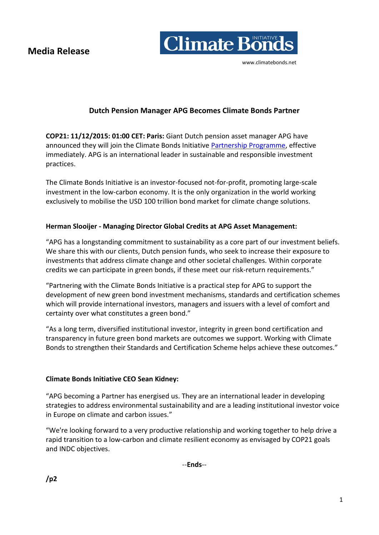**Media Release** 



# **Dutch Pension Manager APG Becomes Climate Bonds Partner**

**COP21: 11/12/2015: 01:00 CET: Paris:** Giant Dutch pension asset manager APG have announced they will join the Climate Bonds Initiative [Partnership Programme,](https://www.climatebonds.net/about-us/partners) effective immediately. APG is an international leader in sustainable and responsible investment practices.

The Climate Bonds Initiative is an investor-focused not-for-profit, promoting large-scale investment in the low-carbon economy. It is the only organization in the world working exclusively to mobilise the USD 100 trillion bond market for climate change solutions.

## **Herman Slooijer - Managing Director Global Credits at APG Asset Management:**

"APG has a longstanding commitment to sustainability as a core part of our investment beliefs. We share this with our clients, Dutch pension funds, who seek to increase their exposure to investments that address climate change and other societal challenges. Within corporate credits we can participate in green bonds, if these meet our risk-return requirements."

"Partnering with the Climate Bonds Initiative is a practical step for APG to support the development of new green bond investment mechanisms, standards and certification schemes which will provide international investors, managers and issuers with a level of comfort and certainty over what constitutes a green bond."

"As a long term, diversified institutional investor, integrity in green bond certification and transparency in future green bond markets are outcomes we support. Working with Climate Bonds to strengthen their Standards and Certification Scheme helps achieve these outcomes."

## **Climate Bonds Initiative CEO Sean Kidney:**

"APG becoming a Partner has energised us. They are an international leader in developing strategies to address environmental sustainability and are a leading institutional investor voice in Europe on climate and carbon issues."

"We're looking forward to a very productive relationship and working together to help drive a rapid transition to a low-carbon and climate resilient economy as envisaged by COP21 goals and INDC objectives.

--**Ends**--